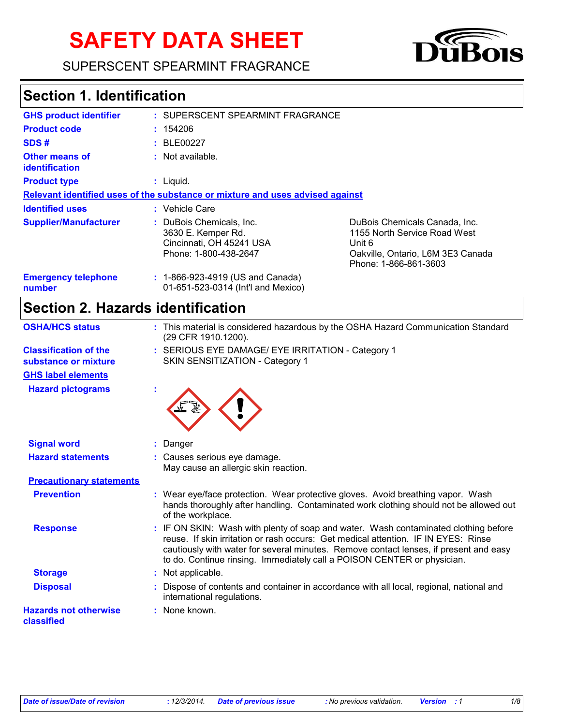# **SAFETY DATA SHEET**

SUPERSCENT SPEARMINT FRAGRANCE



## **Section 1. Identification**

| <b>GHS product identifier</b>                  | : SUPERSCENT SPEARMINT FRAGRANCE                                                                    |                                                                                                                                       |
|------------------------------------------------|-----------------------------------------------------------------------------------------------------|---------------------------------------------------------------------------------------------------------------------------------------|
| <b>Product code</b>                            | : 154206                                                                                            |                                                                                                                                       |
| SDS#                                           | : BLE00227                                                                                          |                                                                                                                                       |
| <b>Other means of</b><br><i>identification</i> | $:$ Not available.                                                                                  |                                                                                                                                       |
| <b>Product type</b>                            | $:$ Liquid.                                                                                         |                                                                                                                                       |
|                                                | Relevant identified uses of the substance or mixture and uses advised against                       |                                                                                                                                       |
| <b>Identified uses</b>                         | : Vehicle Care                                                                                      |                                                                                                                                       |
| <b>Supplier/Manufacturer</b>                   | : DuBois Chemicals. Inc.<br>3630 E. Kemper Rd.<br>Cincinnati, OH 45241 USA<br>Phone: 1-800-438-2647 | DuBois Chemicals Canada, Inc.<br>1155 North Service Road West<br>Unit 6<br>Oakville, Ontario, L6M 3E3 Canada<br>Phone: 1-866-861-3603 |
| <b>Emergency telephone</b><br>number           | : 1-866-923-4919 (US and Canada)<br>01-651-523-0314 (Int'l and Mexico)                              |                                                                                                                                       |

## **Section 2. Hazards identification**

| <b>OSHA/HCS status</b>                               | This material is considered hazardous by the OSHA Hazard Communication Standard<br>(29 CFR 1910.1200).                                                                                                                                                                                                                                        |
|------------------------------------------------------|-----------------------------------------------------------------------------------------------------------------------------------------------------------------------------------------------------------------------------------------------------------------------------------------------------------------------------------------------|
| <b>Classification of the</b><br>substance or mixture | : SERIOUS EYE DAMAGE/ EYE IRRITATION - Category 1<br>SKIN SENSITIZATION - Category 1                                                                                                                                                                                                                                                          |
| <b>GHS label elements</b>                            |                                                                                                                                                                                                                                                                                                                                               |
| <b>Hazard pictograms</b>                             |                                                                                                                                                                                                                                                                                                                                               |
| <b>Signal word</b>                                   | Danger                                                                                                                                                                                                                                                                                                                                        |
| <b>Hazard statements</b>                             | : Causes serious eye damage.<br>May cause an allergic skin reaction.                                                                                                                                                                                                                                                                          |
| <b>Precautionary statements</b>                      |                                                                                                                                                                                                                                                                                                                                               |
| <b>Prevention</b>                                    | : Wear eye/face protection. Wear protective gloves. Avoid breathing vapor. Wash<br>hands thoroughly after handling. Contaminated work clothing should not be allowed out<br>of the workplace.                                                                                                                                                 |
| <b>Response</b>                                      | : IF ON SKIN: Wash with plenty of soap and water. Wash contaminated clothing before<br>reuse. If skin irritation or rash occurs: Get medical attention. IF IN EYES: Rinse<br>cautiously with water for several minutes. Remove contact lenses, if present and easy<br>to do. Continue rinsing. Immediately call a POISON CENTER or physician. |
| <b>Storage</b>                                       | : Not applicable.                                                                                                                                                                                                                                                                                                                             |
| <b>Disposal</b>                                      | Dispose of contents and container in accordance with all local, regional, national and<br>international regulations.                                                                                                                                                                                                                          |
| <b>Hazards not otherwise</b><br>classified           | : None known.                                                                                                                                                                                                                                                                                                                                 |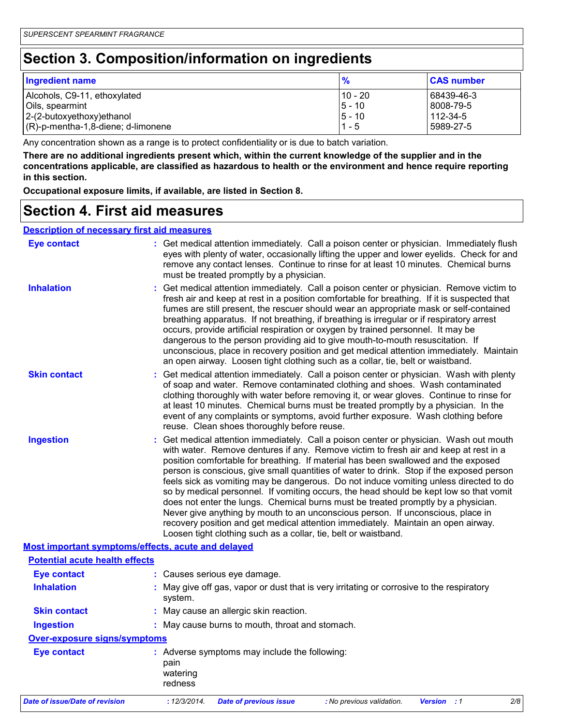## **Section 3. Composition/information on ingredients**

| <b>Ingredient name</b>                | $\frac{9}{6}$ | <b>CAS number</b> |
|---------------------------------------|---------------|-------------------|
| Alcohols, C9-11, ethoxylated          | 10 - 20       | 68439-46-3        |
| Oils, spearmint                       | $5 - 10$      | 8008-79-5         |
| $ 2-(2-butoxyethoxy)ethanol$          | $5 - 10$      | 112-34-5          |
| $(R)-p$ -mentha-1,8-diene; d-limonene | $1 - 5$       | l 5989-27-5       |

Any concentration shown as a range is to protect confidentiality or is due to batch variation.

**There are no additional ingredients present which, within the current knowledge of the supplier and in the concentrations applicable, are classified as hazardous to health or the environment and hence require reporting in this section.**

**Occupational exposure limits, if available, are listed in Section 8.**

### **Section 4. First aid measures**

| <b>Description of necessary first aid measures</b> |                                                                                                                                                                                                                                                                                                                                                                                                                                                                                                                                                                                                                                                                                                                                                                                                                                                                                     |
|----------------------------------------------------|-------------------------------------------------------------------------------------------------------------------------------------------------------------------------------------------------------------------------------------------------------------------------------------------------------------------------------------------------------------------------------------------------------------------------------------------------------------------------------------------------------------------------------------------------------------------------------------------------------------------------------------------------------------------------------------------------------------------------------------------------------------------------------------------------------------------------------------------------------------------------------------|
| <b>Eye contact</b>                                 | : Get medical attention immediately. Call a poison center or physician. Immediately flush<br>eyes with plenty of water, occasionally lifting the upper and lower eyelids. Check for and<br>remove any contact lenses. Continue to rinse for at least 10 minutes. Chemical burns<br>must be treated promptly by a physician.                                                                                                                                                                                                                                                                                                                                                                                                                                                                                                                                                         |
| <b>Inhalation</b>                                  | : Get medical attention immediately. Call a poison center or physician. Remove victim to<br>fresh air and keep at rest in a position comfortable for breathing. If it is suspected that<br>fumes are still present, the rescuer should wear an appropriate mask or self-contained<br>breathing apparatus. If not breathing, if breathing is irregular or if respiratory arrest<br>occurs, provide artificial respiration or oxygen by trained personnel. It may be<br>dangerous to the person providing aid to give mouth-to-mouth resuscitation. If<br>unconscious, place in recovery position and get medical attention immediately. Maintain<br>an open airway. Loosen tight clothing such as a collar, tie, belt or waistband.                                                                                                                                                  |
| <b>Skin contact</b>                                | : Get medical attention immediately. Call a poison center or physician. Wash with plenty<br>of soap and water. Remove contaminated clothing and shoes. Wash contaminated<br>clothing thoroughly with water before removing it, or wear gloves. Continue to rinse for<br>at least 10 minutes. Chemical burns must be treated promptly by a physician. In the<br>event of any complaints or symptoms, avoid further exposure. Wash clothing before<br>reuse. Clean shoes thoroughly before reuse.                                                                                                                                                                                                                                                                                                                                                                                     |
| <b>Ingestion</b>                                   | : Get medical attention immediately. Call a poison center or physician. Wash out mouth<br>with water. Remove dentures if any. Remove victim to fresh air and keep at rest in a<br>position comfortable for breathing. If material has been swallowed and the exposed<br>person is conscious, give small quantities of water to drink. Stop if the exposed person<br>feels sick as vomiting may be dangerous. Do not induce vomiting unless directed to do<br>so by medical personnel. If vomiting occurs, the head should be kept low so that vomit<br>does not enter the lungs. Chemical burns must be treated promptly by a physician.<br>Never give anything by mouth to an unconscious person. If unconscious, place in<br>recovery position and get medical attention immediately. Maintain an open airway.<br>Loosen tight clothing such as a collar, tie, belt or waistband. |
|                                                    | Most important symptoms/effects, acute and delayed                                                                                                                                                                                                                                                                                                                                                                                                                                                                                                                                                                                                                                                                                                                                                                                                                                  |
| <b>Potential acute health effects</b>              |                                                                                                                                                                                                                                                                                                                                                                                                                                                                                                                                                                                                                                                                                                                                                                                                                                                                                     |
| <b>Eye contact</b>                                 | : Causes serious eye damage.                                                                                                                                                                                                                                                                                                                                                                                                                                                                                                                                                                                                                                                                                                                                                                                                                                                        |
| <b>Inhalation</b>                                  | : May give off gas, vapor or dust that is very irritating or corrosive to the respiratory<br>system.                                                                                                                                                                                                                                                                                                                                                                                                                                                                                                                                                                                                                                                                                                                                                                                |
| <b>Skin contact</b>                                | : May cause an allergic skin reaction.                                                                                                                                                                                                                                                                                                                                                                                                                                                                                                                                                                                                                                                                                                                                                                                                                                              |
| <b>Ingestion</b>                                   | : May cause burns to mouth, throat and stomach.                                                                                                                                                                                                                                                                                                                                                                                                                                                                                                                                                                                                                                                                                                                                                                                                                                     |
| <b>Over-exposure signs/symptoms</b>                |                                                                                                                                                                                                                                                                                                                                                                                                                                                                                                                                                                                                                                                                                                                                                                                                                                                                                     |
| <b>Eye contact</b>                                 | : Adverse symptoms may include the following:<br>pain<br>watering<br>redness                                                                                                                                                                                                                                                                                                                                                                                                                                                                                                                                                                                                                                                                                                                                                                                                        |
| <b>Date of issue/Date of revision</b>              | : 12/3/2014.<br>2/8<br><b>Date of previous issue</b><br>: No previous validation.<br><b>Version</b> : 1                                                                                                                                                                                                                                                                                                                                                                                                                                                                                                                                                                                                                                                                                                                                                                             |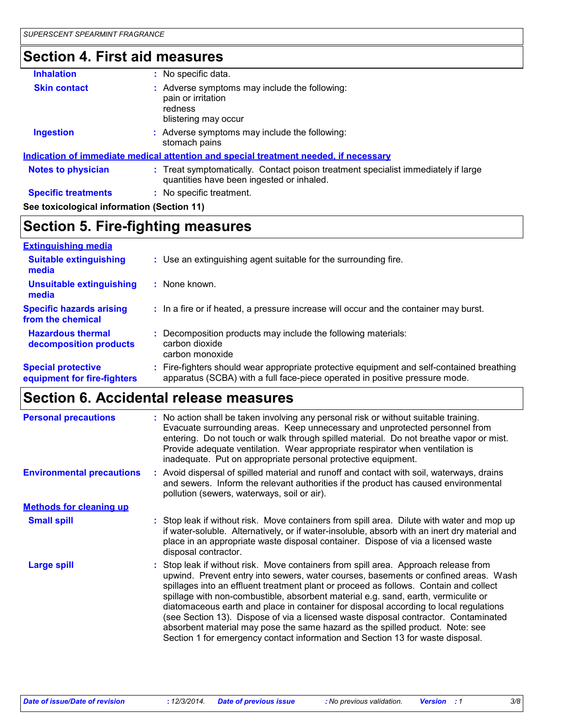## **Section 4. First aid measures**

| <b>Inhalation</b>                          | : No specific data.                                                                                                            |
|--------------------------------------------|--------------------------------------------------------------------------------------------------------------------------------|
| <b>Skin contact</b>                        | : Adverse symptoms may include the following:<br>pain or irritation<br>redness<br>blistering may occur                         |
| <b>Ingestion</b>                           | : Adverse symptoms may include the following:<br>stomach pains                                                                 |
|                                            | <b>Indication of immediate medical attention and special treatment needed, if necessary</b>                                    |
| <b>Notes to physician</b>                  | : Treat symptomatically. Contact poison treatment specialist immediately if large<br>quantities have been ingested or inhaled. |
| <b>Specific treatments</b>                 | : No specific treatment.                                                                                                       |
| See toxicological information (Section 11) |                                                                                                                                |

## **Section 5. Fire-fighting measures**

| <b>Extinguishing media</b>                               |                                                                                                                                                                        |
|----------------------------------------------------------|------------------------------------------------------------------------------------------------------------------------------------------------------------------------|
| <b>Suitable extinguishing</b><br>media                   | : Use an extinguishing agent suitable for the surrounding fire.                                                                                                        |
| <b>Unsuitable extinguishing</b><br>media                 | None known.                                                                                                                                                            |
| <b>Specific hazards arising</b><br>from the chemical     | : In a fire or if heated, a pressure increase will occur and the container may burst.                                                                                  |
| <b>Hazardous thermal</b><br>decomposition products       | Decomposition products may include the following materials:<br>carbon dioxide<br>carbon monoxide                                                                       |
| <b>Special protective</b><br>equipment for fire-fighters | Fire-fighters should wear appropriate protective equipment and self-contained breathing<br>apparatus (SCBA) with a full face-piece operated in positive pressure mode. |

## **Section 6. Accidental release measures**

| <b>Personal precautions</b>      | : No action shall be taken involving any personal risk or without suitable training.<br>Evacuate surrounding areas. Keep unnecessary and unprotected personnel from<br>entering. Do not touch or walk through spilled material. Do not breathe vapor or mist.<br>Provide adequate ventilation. Wear appropriate respirator when ventilation is<br>inadequate. Put on appropriate personal protective equipment.                                                                                                                                                                                                                                                                                              |  |  |  |
|----------------------------------|--------------------------------------------------------------------------------------------------------------------------------------------------------------------------------------------------------------------------------------------------------------------------------------------------------------------------------------------------------------------------------------------------------------------------------------------------------------------------------------------------------------------------------------------------------------------------------------------------------------------------------------------------------------------------------------------------------------|--|--|--|
| <b>Environmental precautions</b> | : Avoid dispersal of spilled material and runoff and contact with soil, waterways, drains<br>and sewers. Inform the relevant authorities if the product has caused environmental<br>pollution (sewers, waterways, soil or air).                                                                                                                                                                                                                                                                                                                                                                                                                                                                              |  |  |  |
| <b>Methods for cleaning up</b>   |                                                                                                                                                                                                                                                                                                                                                                                                                                                                                                                                                                                                                                                                                                              |  |  |  |
| <b>Small spill</b>               | : Stop leak if without risk. Move containers from spill area. Dilute with water and mop up<br>if water-soluble. Alternatively, or if water-insoluble, absorb with an inert dry material and<br>place in an appropriate waste disposal container. Dispose of via a licensed waste<br>disposal contractor.                                                                                                                                                                                                                                                                                                                                                                                                     |  |  |  |
| <b>Large spill</b>               | : Stop leak if without risk. Move containers from spill area. Approach release from<br>upwind. Prevent entry into sewers, water courses, basements or confined areas. Wash<br>spillages into an effluent treatment plant or proceed as follows. Contain and collect<br>spillage with non-combustible, absorbent material e.g. sand, earth, vermiculite or<br>diatomaceous earth and place in container for disposal according to local regulations<br>(see Section 13). Dispose of via a licensed waste disposal contractor. Contaminated<br>absorbent material may pose the same hazard as the spilled product. Note: see<br>Section 1 for emergency contact information and Section 13 for waste disposal. |  |  |  |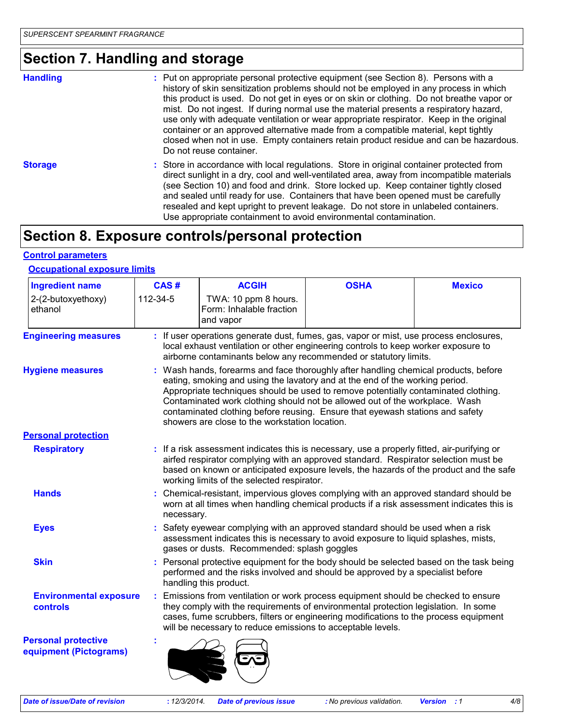## **Section 7. Handling and storage**

| <b>Handling</b> | : Put on appropriate personal protective equipment (see Section 8). Persons with a<br>history of skin sensitization problems should not be employed in any process in which<br>this product is used. Do not get in eyes or on skin or clothing. Do not breathe vapor or<br>mist. Do not ingest. If during normal use the material presents a respiratory hazard,<br>use only with adequate ventilation or wear appropriate respirator. Keep in the original<br>container or an approved alternative made from a compatible material, kept tightly<br>closed when not in use. Empty containers retain product residue and can be hazardous.<br>Do not reuse container. |
|-----------------|-----------------------------------------------------------------------------------------------------------------------------------------------------------------------------------------------------------------------------------------------------------------------------------------------------------------------------------------------------------------------------------------------------------------------------------------------------------------------------------------------------------------------------------------------------------------------------------------------------------------------------------------------------------------------|
| <b>Storage</b>  | : Store in accordance with local regulations. Store in original container protected from<br>direct sunlight in a dry, cool and well-ventilated area, away from incompatible materials<br>(see Section 10) and food and drink. Store locked up. Keep container tightly closed<br>and sealed until ready for use. Containers that have been opened must be carefully<br>resealed and kept upright to prevent leakage. Do not store in unlabeled containers.<br>Use appropriate containment to avoid environmental contamination.                                                                                                                                        |

## **Section 8. Exposure controls/personal protection**

### **Control parameters**

### **Occupational exposure limits**

| <b>Ingredient name</b>                               | CAS#                                                                                                                                                                                                                                           | <b>ACGIH</b>                                                                                                                                                                                                                                                                                                                                                                                                                                                                | <b>OSHA</b> | <b>Mexico</b> |  |  |  |
|------------------------------------------------------|------------------------------------------------------------------------------------------------------------------------------------------------------------------------------------------------------------------------------------------------|-----------------------------------------------------------------------------------------------------------------------------------------------------------------------------------------------------------------------------------------------------------------------------------------------------------------------------------------------------------------------------------------------------------------------------------------------------------------------------|-------------|---------------|--|--|--|
| 2-(2-butoxyethoxy)<br>ethanol                        | 112-34-5                                                                                                                                                                                                                                       | TWA: 10 ppm 8 hours.<br>Form: Inhalable fraction<br>and vapor                                                                                                                                                                                                                                                                                                                                                                                                               |             |               |  |  |  |
| <b>Engineering measures</b>                          | If user operations generate dust, fumes, gas, vapor or mist, use process enclosures,<br>local exhaust ventilation or other engineering controls to keep worker exposure to<br>airborne contaminants below any recommended or statutory limits. |                                                                                                                                                                                                                                                                                                                                                                                                                                                                             |             |               |  |  |  |
| <b>Hygiene measures</b>                              |                                                                                                                                                                                                                                                | : Wash hands, forearms and face thoroughly after handling chemical products, before<br>eating, smoking and using the lavatory and at the end of the working period.<br>Appropriate techniques should be used to remove potentially contaminated clothing.<br>Contaminated work clothing should not be allowed out of the workplace. Wash<br>contaminated clothing before reusing. Ensure that eyewash stations and safety<br>showers are close to the workstation location. |             |               |  |  |  |
| <b>Personal protection</b>                           |                                                                                                                                                                                                                                                |                                                                                                                                                                                                                                                                                                                                                                                                                                                                             |             |               |  |  |  |
| <b>Respiratory</b>                                   |                                                                                                                                                                                                                                                | : If a risk assessment indicates this is necessary, use a properly fitted, air-purifying or<br>airfed respirator complying with an approved standard. Respirator selection must be<br>based on known or anticipated exposure levels, the hazards of the product and the safe<br>working limits of the selected respirator.                                                                                                                                                  |             |               |  |  |  |
| <b>Hands</b>                                         |                                                                                                                                                                                                                                                | Chemical-resistant, impervious gloves complying with an approved standard should be<br>worn at all times when handling chemical products if a risk assessment indicates this is<br>necessary.                                                                                                                                                                                                                                                                               |             |               |  |  |  |
| <b>Eyes</b>                                          |                                                                                                                                                                                                                                                | Safety eyewear complying with an approved standard should be used when a risk<br>assessment indicates this is necessary to avoid exposure to liquid splashes, mists,<br>gases or dusts. Recommended: splash goggles                                                                                                                                                                                                                                                         |             |               |  |  |  |
| <b>Skin</b>                                          |                                                                                                                                                                                                                                                | Personal protective equipment for the body should be selected based on the task being<br>performed and the risks involved and should be approved by a specialist before<br>handling this product.                                                                                                                                                                                                                                                                           |             |               |  |  |  |
| <b>Environmental exposure</b><br>controls            |                                                                                                                                                                                                                                                | Emissions from ventilation or work process equipment should be checked to ensure<br>they comply with the requirements of environmental protection legislation. In some<br>cases, fume scrubbers, filters or engineering modifications to the process equipment<br>will be necessary to reduce emissions to acceptable levels.                                                                                                                                               |             |               |  |  |  |
| <b>Personal protective</b><br>equipment (Pictograms) |                                                                                                                                                                                                                                                |                                                                                                                                                                                                                                                                                                                                                                                                                                                                             |             |               |  |  |  |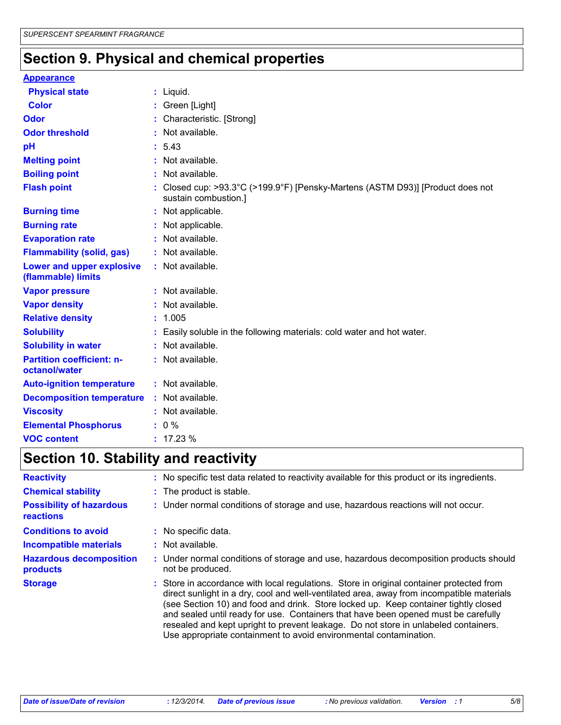## **Section 9. Physical and chemical properties**

### **Appearance**

| <b>Physical state</b>                             | $:$ Liquid.                                                                                            |
|---------------------------------------------------|--------------------------------------------------------------------------------------------------------|
| <b>Color</b>                                      | : Green [Light]                                                                                        |
| Odor                                              | : Characteristic. [Strong]                                                                             |
| <b>Odor threshold</b>                             | : Not available.                                                                                       |
| pH                                                | : 5.43                                                                                                 |
| <b>Melting point</b>                              | : Not available.                                                                                       |
| <b>Boiling point</b>                              | : Not available.                                                                                       |
| <b>Flash point</b>                                | : Closed cup: >93.3°C (>199.9°F) [Pensky-Martens (ASTM D93)] [Product does not<br>sustain combustion.] |
| <b>Burning time</b>                               | : Not applicable.                                                                                      |
| <b>Burning rate</b>                               | : Not applicable.                                                                                      |
| <b>Evaporation rate</b>                           | : Not available.                                                                                       |
| <b>Flammability (solid, gas)</b>                  | : Not available.                                                                                       |
| Lower and upper explosive<br>(flammable) limits   | : Not available.                                                                                       |
| <b>Vapor pressure</b>                             | : Not available.                                                                                       |
| <b>Vapor density</b>                              | : Not available.                                                                                       |
| <b>Relative density</b>                           | : 1.005                                                                                                |
| <b>Solubility</b>                                 | : Easily soluble in the following materials: cold water and hot water.                                 |
| <b>Solubility in water</b>                        | : Not available.                                                                                       |
| <b>Partition coefficient: n-</b><br>octanol/water | : Not available.                                                                                       |
| <b>Auto-ignition temperature</b>                  | : Not available.                                                                                       |
| <b>Decomposition temperature</b>                  | : Not available.                                                                                       |
| <b>Viscosity</b>                                  | : Not available.                                                                                       |
| <b>Elemental Phosphorus</b>                       | $: 0 \%$                                                                                               |
| <b>VOC content</b>                                | : 17.23%                                                                                               |

## **Section 10. Stability and reactivity**

| <b>Reactivity</b>                            | : No specific test data related to reactivity available for this product or its ingredients.                                                                                                                                                                                                                                                                                                                                                                                                                                   |
|----------------------------------------------|--------------------------------------------------------------------------------------------------------------------------------------------------------------------------------------------------------------------------------------------------------------------------------------------------------------------------------------------------------------------------------------------------------------------------------------------------------------------------------------------------------------------------------|
| <b>Chemical stability</b>                    | : The product is stable.                                                                                                                                                                                                                                                                                                                                                                                                                                                                                                       |
| <b>Possibility of hazardous</b><br>reactions | : Under normal conditions of storage and use, hazardous reactions will not occur.                                                                                                                                                                                                                                                                                                                                                                                                                                              |
| <b>Conditions to avoid</b>                   | : No specific data.                                                                                                                                                                                                                                                                                                                                                                                                                                                                                                            |
| Incompatible materials                       | $:$ Not available.                                                                                                                                                                                                                                                                                                                                                                                                                                                                                                             |
| <b>Hazardous decomposition</b><br>products   | : Under normal conditions of storage and use, hazardous decomposition products should<br>not be produced.                                                                                                                                                                                                                                                                                                                                                                                                                      |
| <b>Storage</b>                               | : Store in accordance with local regulations. Store in original container protected from<br>direct sunlight in a dry, cool and well-ventilated area, away from incompatible materials<br>(see Section 10) and food and drink. Store locked up. Keep container tightly closed<br>and sealed until ready for use. Containers that have been opened must be carefully<br>resealed and kept upright to prevent leakage. Do not store in unlabeled containers.<br>Use appropriate containment to avoid environmental contamination. |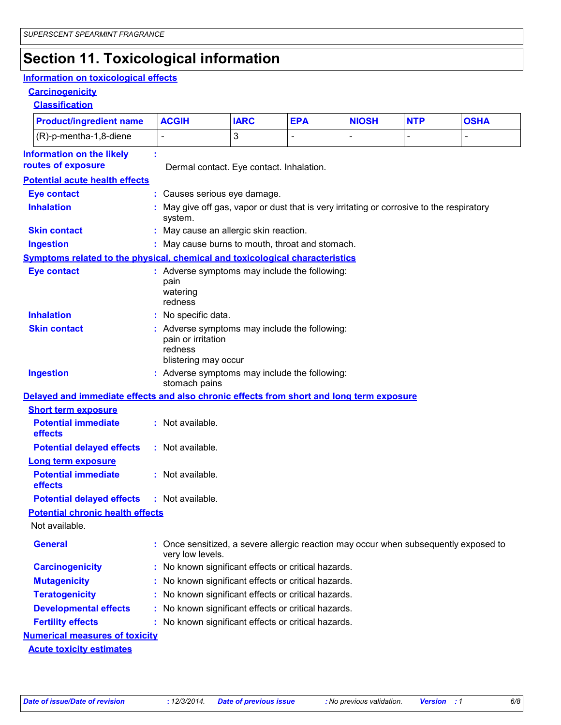## **Section 11. Toxicological information**

### **Information on toxicological effects**

**Carcinogenicity**

**Classification**

| <b>Product/ingredient name</b>                                                           | <b>ACGIH</b>                                                                 | <b>IARC</b>                                                                               | <b>EPA</b> | <b>NIOSH</b> | <b>NTP</b> | <b>OSHA</b> |  |  |
|------------------------------------------------------------------------------------------|------------------------------------------------------------------------------|-------------------------------------------------------------------------------------------|------------|--------------|------------|-------------|--|--|
| (R)-p-mentha-1,8-diene                                                                   |                                                                              | 3                                                                                         |            |              |            |             |  |  |
| <b>Information on the likely</b>                                                         |                                                                              |                                                                                           |            |              |            |             |  |  |
| routes of exposure                                                                       | Dermal contact. Eye contact. Inhalation.                                     |                                                                                           |            |              |            |             |  |  |
| <b>Potential acute health effects</b>                                                    |                                                                              |                                                                                           |            |              |            |             |  |  |
| <b>Eye contact</b>                                                                       |                                                                              | : Causes serious eye damage.                                                              |            |              |            |             |  |  |
| <b>Inhalation</b>                                                                        | system.                                                                      | : May give off gas, vapor or dust that is very irritating or corrosive to the respiratory |            |              |            |             |  |  |
| <b>Skin contact</b>                                                                      | : May cause an allergic skin reaction.                                       |                                                                                           |            |              |            |             |  |  |
| <b>Ingestion</b>                                                                         | : May cause burns to mouth, throat and stomach.                              |                                                                                           |            |              |            |             |  |  |
| Symptoms related to the physical, chemical and toxicological characteristics             |                                                                              |                                                                                           |            |              |            |             |  |  |
| <b>Eye contact</b>                                                                       | : Adverse symptoms may include the following:<br>pain<br>watering<br>redness |                                                                                           |            |              |            |             |  |  |
| <b>Inhalation</b>                                                                        | : No specific data.                                                          |                                                                                           |            |              |            |             |  |  |
| <b>Skin contact</b>                                                                      | pain or irritation<br>redness                                                | : Adverse symptoms may include the following:<br>blistering may occur                     |            |              |            |             |  |  |
| <b>Ingestion</b>                                                                         | stomach pains                                                                | : Adverse symptoms may include the following:                                             |            |              |            |             |  |  |
| Delayed and immediate effects and also chronic effects from short and long term exposure |                                                                              |                                                                                           |            |              |            |             |  |  |
| <b>Short term exposure</b>                                                               |                                                                              |                                                                                           |            |              |            |             |  |  |
| <b>Potential immediate</b><br>effects                                                    | : Not available.                                                             |                                                                                           |            |              |            |             |  |  |
| <b>Potential delayed effects</b>                                                         | : Not available.                                                             |                                                                                           |            |              |            |             |  |  |
| Long term exposure                                                                       |                                                                              |                                                                                           |            |              |            |             |  |  |
| <b>Potential immediate</b><br>effects                                                    | : Not available.                                                             |                                                                                           |            |              |            |             |  |  |
| <b>Potential delayed effects</b>                                                         | : Not available.                                                             |                                                                                           |            |              |            |             |  |  |
| <b>Potential chronic health effects</b>                                                  |                                                                              |                                                                                           |            |              |            |             |  |  |
| Not available.                                                                           |                                                                              |                                                                                           |            |              |            |             |  |  |
| <b>General</b>                                                                           | very low levels.                                                             | Once sensitized, a severe allergic reaction may occur when subsequently exposed to        |            |              |            |             |  |  |
| <b>Carcinogenicity</b>                                                                   | : No known significant effects or critical hazards.                          |                                                                                           |            |              |            |             |  |  |
| <b>Mutagenicity</b>                                                                      | : No known significant effects or critical hazards.                          |                                                                                           |            |              |            |             |  |  |
| <b>Teratogenicity</b>                                                                    | : No known significant effects or critical hazards.                          |                                                                                           |            |              |            |             |  |  |
| <b>Developmental effects</b>                                                             | : No known significant effects or critical hazards.                          |                                                                                           |            |              |            |             |  |  |
| <b>Fertility effects</b>                                                                 | : No known significant effects or critical hazards.                          |                                                                                           |            |              |            |             |  |  |
| <b>Numerical measures of toxicity</b>                                                    |                                                                              |                                                                                           |            |              |            |             |  |  |
| <b>Acute toxicity estimates</b>                                                          |                                                                              |                                                                                           |            |              |            |             |  |  |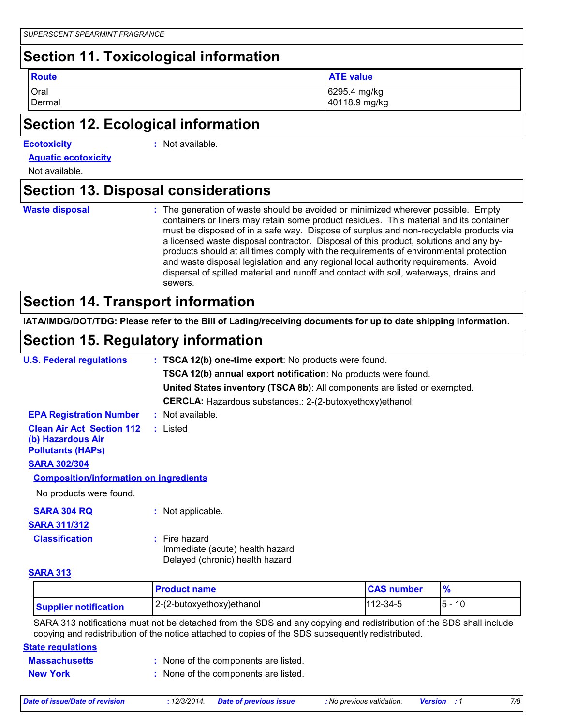## **Section 11. Toxicological information**

**Route ATE value**

Oral 6295.4 mg/kg Dermal 40118.9 mg/kg

## **Section 12. Ecological information**

### **Ecotoxicity :**

: Not available.

**Aquatic ecotoxicity**

Not available.

## **Section 13. Disposal considerations**

- **Waste disposal :**
- The generation of waste should be avoided or minimized wherever possible. Empty containers or liners may retain some product residues. This material and its container must be disposed of in a safe way. Dispose of surplus and non-recyclable products via a licensed waste disposal contractor. Disposal of this product, solutions and any byproducts should at all times comply with the requirements of environmental protection and waste disposal legislation and any regional local authority requirements. Avoid dispersal of spilled material and runoff and contact with soil, waterways, drains and sewers.

## **Section 14. Transport information**

**IATA/IMDG/DOT/TDG: Please refer to the Bill of Lading/receiving documents for up to date shipping information.**

## **Section 15. Regulatory information**

| <b>U.S. Federal regulations</b>                                                   | : TSCA 12(b) one-time export: No products were found.                                 |
|-----------------------------------------------------------------------------------|---------------------------------------------------------------------------------------|
|                                                                                   | <b>TSCA 12(b) annual export notification:</b> No products were found.                 |
|                                                                                   | United States inventory (TSCA 8b): All components are listed or exempted.             |
|                                                                                   | <b>CERCLA:</b> Hazardous substances.: 2-(2-butoxyethoxy)ethanol;                      |
| <b>EPA Registration Number</b>                                                    | : Not available.                                                                      |
| <b>Clean Air Act Section 112</b><br>(b) Hazardous Air<br><b>Pollutants (HAPS)</b> | : Listed                                                                              |
| <b>SARA 302/304</b>                                                               |                                                                                       |
| <b>Composition/information on ingredients</b>                                     |                                                                                       |
| No products were found.                                                           |                                                                                       |
| <b>SARA 304 RQ</b>                                                                | : Not applicable.                                                                     |
| <b>SARA 311/312</b>                                                               |                                                                                       |
| <b>Classification</b>                                                             | $:$ Fire hazard<br>Immediate (acute) health hazard<br>Delayed (chronic) health hazard |
| <b>CADA 242</b>                                                                   |                                                                                       |

### **SARA 313**

|                              | <b>Product name</b>       | <b>CAS number</b> |          |
|------------------------------|---------------------------|-------------------|----------|
| <b>Supplier notification</b> | 2-(2-butoxyethoxy)ethanol | $112 - 34 - 5$    | 10<br>5. |

SARA 313 notifications must not be detached from the SDS and any copying and redistribution of the SDS shall include copying and redistribution of the notice attached to copies of the SDS subsequently redistributed.

### **State regulations**

| <b>Massachusetts</b> | : None of the components are listed. |
|----------------------|--------------------------------------|
|                      |                                      |

**New York :** None of the components are listed.

| <b>Date of issue/Date of revision</b> | 12/3/2014. | Date of previous issue | <b>:</b> No previous validation. | Version | 7/8 |
|---------------------------------------|------------|------------------------|----------------------------------|---------|-----|
|                                       |            |                        |                                  |         |     |